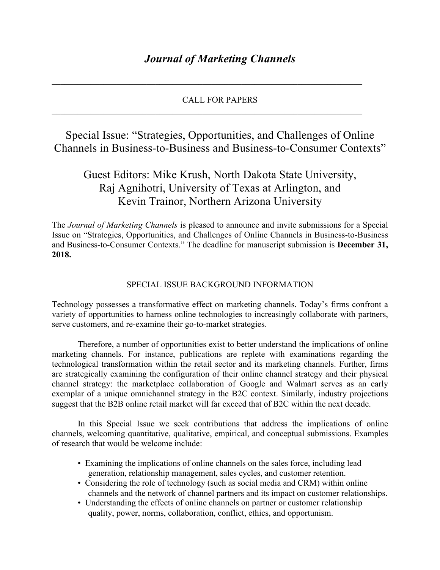## CALL FOR PAPERS

 $\mathcal{L}_\mathcal{L} = \{ \mathcal{L}_\mathcal{L} = \{ \mathcal{L}_\mathcal{L} = \{ \mathcal{L}_\mathcal{L} = \{ \mathcal{L}_\mathcal{L} = \{ \mathcal{L}_\mathcal{L} = \{ \mathcal{L}_\mathcal{L} = \{ \mathcal{L}_\mathcal{L} = \{ \mathcal{L}_\mathcal{L} = \{ \mathcal{L}_\mathcal{L} = \{ \mathcal{L}_\mathcal{L} = \{ \mathcal{L}_\mathcal{L} = \{ \mathcal{L}_\mathcal{L} = \{ \mathcal{L}_\mathcal{L} = \{ \mathcal{L}_\mathcal{$ 

 $\mathcal{L}_\mathcal{L} = \{ \mathcal{L}_\mathcal{L} = \{ \mathcal{L}_\mathcal{L} = \{ \mathcal{L}_\mathcal{L} = \{ \mathcal{L}_\mathcal{L} = \{ \mathcal{L}_\mathcal{L} = \{ \mathcal{L}_\mathcal{L} = \{ \mathcal{L}_\mathcal{L} = \{ \mathcal{L}_\mathcal{L} = \{ \mathcal{L}_\mathcal{L} = \{ \mathcal{L}_\mathcal{L} = \{ \mathcal{L}_\mathcal{L} = \{ \mathcal{L}_\mathcal{L} = \{ \mathcal{L}_\mathcal{L} = \{ \mathcal{L}_\mathcal{$ 

Special Issue: "Strategies, Opportunities, and Challenges of Online Channels in Business-to-Business and Business-to-Consumer Contexts"

## Guest Editors: Mike Krush, North Dakota State University, Raj Agnihotri, University of Texas at Arlington, and Kevin Trainor, Northern Arizona University

The *Journal of Marketing Channels* is pleased to announce and invite submissions for a Special Issue on "Strategies, Opportunities, and Challenges of Online Channels in Business-to-Business and Business-to-Consumer Contexts." The deadline for manuscript submission is **December 31, 2018.**

## SPECIAL ISSUE BACKGROUND INFORMATION

Technology possesses a transformative effect on marketing channels. Today's firms confront a variety of opportunities to harness online technologies to increasingly collaborate with partners, serve customers, and re-examine their go-to-market strategies.

Therefore, a number of opportunities exist to better understand the implications of online marketing channels. For instance, publications are replete with examinations regarding the technological transformation within the retail sector and its marketing channels. Further, firms are strategically examining the configuration of their online channel strategy and their physical channel strategy: the marketplace collaboration of Google and Walmart serves as an early exemplar of a unique omnichannel strategy in the B2C context. Similarly, industry projections suggest that the B2B online retail market will far exceed that of B2C within the next decade.

In this Special Issue we seek contributions that address the implications of online channels, welcoming quantitative, qualitative, empirical, and conceptual submissions. Examples of research that would be welcome include:

- Examining the implications of online channels on the sales force, including lead generation, relationship management, sales cycles, and customer retention.
- Considering the role of technology (such as social media and CRM) within online channels and the network of channel partners and its impact on customer relationships.
- Understanding the effects of online channels on partner or customer relationship quality, power, norms, collaboration, conflict, ethics, and opportunism.